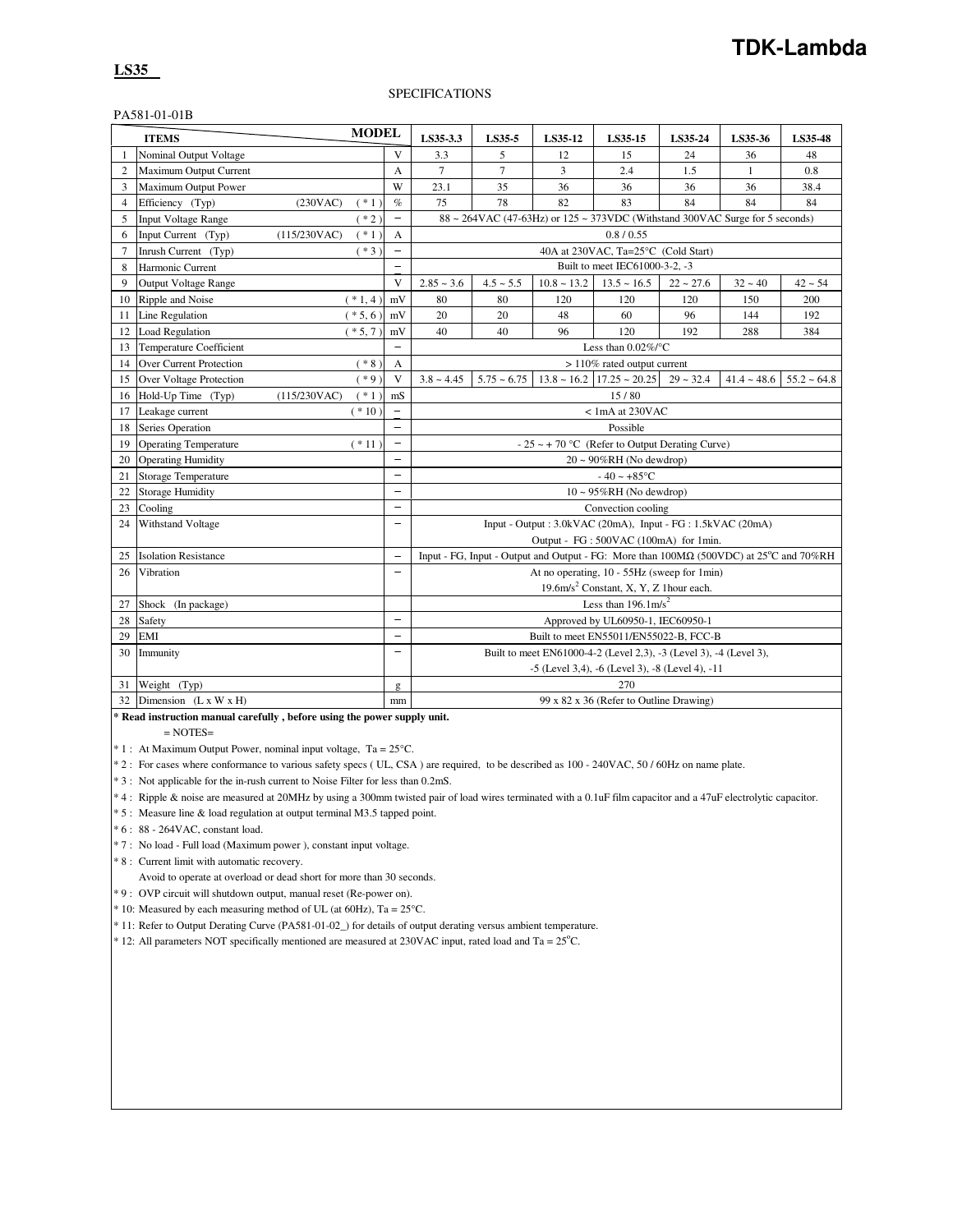## **LS35**

### SPECIFICATIONS

#### PA581-01-01B

| <b>MODEL</b><br><b>ITEMS</b> |                                |                         | LS35-3.3                 | LS35-5                                                                       | LS35-12        | LS35-15       | LS35-24                                                                                | LS35-36        | LS35-48       |                  |
|------------------------------|--------------------------------|-------------------------|--------------------------|------------------------------------------------------------------------------|----------------|---------------|----------------------------------------------------------------------------------------|----------------|---------------|------------------|
| -1                           | Nominal Output Voltage         |                         | V                        | 3.3                                                                          | 5              | 12            | 15                                                                                     | 24             | 36            | 48               |
| $\overline{2}$               | Maximum Output Current         |                         | A                        | 7                                                                            | $\tau$         | 3             | 2.4                                                                                    | 1.5            | 1             | 0.8              |
| $\overline{3}$               | <b>Maximum Output Power</b>    |                         | W                        | 23.1                                                                         | 35             | 36            | 36                                                                                     | 36             | 36            | 38.4             |
| $\overline{4}$               | Efficiency (Typ)               | $(* 1)$<br>(230VAC)     | $\%$                     | 75                                                                           | 78             | 82            | 83                                                                                     | 84             | 84            | 84               |
| 5                            | <b>Input Voltage Range</b>     | $(*2)$                  | $\qquad \qquad -$        | 88 ~ 264VAC (47-63Hz) or 125 ~ 373VDC (Withstand 300VAC Surge for 5 seconds) |                |               |                                                                                        |                |               |                  |
| 6                            | Input Current (Typ)            | (115/230VAC)<br>$(* 1)$ | A                        | 0.8 / 0.55                                                                   |                |               |                                                                                        |                |               |                  |
| $\overline{7}$               | Inrush Current (Typ)           | $(*3)$                  |                          | 40A at 230VAC, Ta=25°C (Cold Start)                                          |                |               |                                                                                        |                |               |                  |
| 8                            | Harmonic Current               |                         |                          | Built to meet IEC61000-3-2, -3                                               |                |               |                                                                                        |                |               |                  |
| 9                            | <b>Output Voltage Range</b>    |                         | V                        | $2.85 - 3.6$                                                                 | $4.5 \sim 5.5$ | $10.8 - 13.2$ | $13.5 \sim 16.5$                                                                       | $22 \sim 27.6$ | $32 - 40$     | $42 \sim 54$     |
| 10                           | Ripple and Noise               | $(*1,4)$                | mV                       | 80                                                                           | 80             | 120           | 120                                                                                    | 120            | 150           | 200              |
| 11                           | Line Regulation                | $(* 5, 6)$              | mV                       | 20                                                                           | 20             | 48            | 60                                                                                     | 96             | 144           | 192              |
| 12                           | <b>Load Regulation</b>         | $(* 5, 7)$              | mV                       | 40                                                                           | 40             | 96            | 120                                                                                    | 192            | 288           | 384              |
| 13                           | <b>Temperature Coefficient</b> |                         | $\equiv$                 |                                                                              |                |               | Less than $0.02\%$ /°C                                                                 |                |               |                  |
| 14                           | Over Current Protection        | $(* 8)$                 | $\overline{A}$           |                                                                              |                |               | $>110\%$ rated output current                                                          |                |               |                  |
| 15                           | Over Voltage Protection        | $(*9)$                  | V                        | $3.8 \sim 4.45$                                                              | $5.75 - 6.75$  |               | $13.8 \sim 16.2$ 17.25 $\sim 20.25$                                                    | $29 - 32.4$    | $41.4 - 48.6$ | $55.2 \div 64.8$ |
| 16                           | Hold-Up Time (Typ)             | $(* 1)$<br>(115/230VAC) | mS                       |                                                                              |                |               | 15/80                                                                                  |                |               |                  |
| 17                           | Leakage current                | $(*10)$                 | $\overline{\phantom{m}}$ |                                                                              |                |               | <1mA at 230VAC                                                                         |                |               |                  |
| 18                           | Series Operation               |                         | $\overline{\phantom{0}}$ |                                                                              |                |               | Possible                                                                               |                |               |                  |
| 19                           | <b>Operating Temperature</b>   | $(* 11)$                | $\overline{\phantom{a}}$ |                                                                              |                |               | - 25 ~ + 70 °C (Refer to Output Derating Curve)                                        |                |               |                  |
| 20                           | <b>Operating Humidity</b>      |                         | $\overline{\phantom{0}}$ |                                                                              |                |               | $20 \sim 90\% RH$ (No dewdrop)                                                         |                |               |                  |
| 21                           | <b>Storage Temperature</b>     |                         | $\overline{\phantom{0}}$ |                                                                              |                |               | $-40 - +85$ °C                                                                         |                |               |                  |
| 22                           | <b>Storage Humidity</b>        |                         | $\qquad \qquad -$        |                                                                              |                |               | $10 \sim 95\% RH$ (No dewdrop)                                                         |                |               |                  |
| 23                           | Cooling                        |                         | $\qquad \qquad -$        |                                                                              |                |               | Convection cooling                                                                     |                |               |                  |
| 24                           | Withstand Voltage              |                         |                          |                                                                              |                |               | Input - Output: 3.0kVAC (20mA), Input - FG: 1.5kVAC (20mA)                             |                |               |                  |
|                              |                                |                         |                          |                                                                              |                |               | Output - FG: 500VAC (100mA) for 1min.                                                  |                |               |                  |
| 25                           | <b>Isolation Resistance</b>    |                         | $\qquad \qquad -$        |                                                                              |                |               | Input - FG, Input - Output and Output - FG: More than 100MΩ (500VDC) at 25°C and 70%RH |                |               |                  |
| 26                           | Vibration                      |                         |                          |                                                                              |                |               | At no operating, 10 - 55Hz (sweep for 1min)                                            |                |               |                  |
|                              |                                |                         |                          |                                                                              |                |               | 19.6m/s <sup>2</sup> Constant, X, Y, Z 1hour each.                                     |                |               |                  |
| 27                           | Shock (In package)             |                         |                          |                                                                              |                |               | Less than $196.1 \text{m/s}^2$                                                         |                |               |                  |
| 28                           | Safety                         |                         | $\qquad \qquad -$        |                                                                              |                |               | Approved by UL60950-1, IEC60950-1                                                      |                |               |                  |
| 29                           | <b>EMI</b>                     |                         | $\qquad \qquad -$        |                                                                              |                |               | Built to meet EN55011/EN55022-B, FCC-B                                                 |                |               |                  |
| 30                           | Immunity                       |                         | $\overline{\phantom{0}}$ |                                                                              |                |               | Built to meet EN61000-4-2 (Level 2,3), -3 (Level 3), -4 (Level 3),                     |                |               |                  |
|                              |                                |                         |                          |                                                                              |                |               | $-5$ (Level 3,4), $-6$ (Level 3), $-8$ (Level 4), $-11$                                |                |               |                  |
| 31                           | Weight (Typ)                   |                         | g                        |                                                                              |                |               | 270                                                                                    |                |               |                  |
| 32                           | Dimension (L x W x H)          |                         |                          | 99 x 82 x 36 (Refer to Outline Drawing)                                      |                |               |                                                                                        |                |               |                  |

**\* Read instruction manual carefully , before using the power supply unit.**

 $=$  NOTES $=$ 

\* 1 : At Maximum Output Power, nominal input voltage, Ta = 25°C.

\* 2 : For cases where conformance to various safety specs ( UL, CSA ) are required, to be described as 100 - 240VAC, 50 / 60Hz on name plate.

\* 3 : Not applicable for the in-rush current to Noise Filter for less than 0.2mS.

\* 4 : Ripple & noise are measured at 20MHz by using a 300mm twisted pair of load wires terminated with a 0.1uF film capacitor and a 47uF electrolytic capacitor.

\* 5 : Measure line & load regulation at output terminal M3.5 tapped point.

\* 6 : 88 - 264VAC, constant load.

\* 7 : No load - Full load (Maximum power ), constant input voltage.

\* 8 : Current limit with automatic recovery.

Avoid to operate at overload or dead short for more than 30 seconds.

\* 9 : OVP circuit will shutdown output, manual reset (Re-power on).

 $*$  10: Measured by each measuring method of UL (at 60Hz), Ta = 25°C.

\* 11: Refer to Output Derating Curve (PA581-01-02\_) for details of output derating versus ambient temperature.

 $*$  12: All parameters NOT specifically mentioned are measured at 230VAC input, rated load and Ta =  $25^{\circ}$ C.